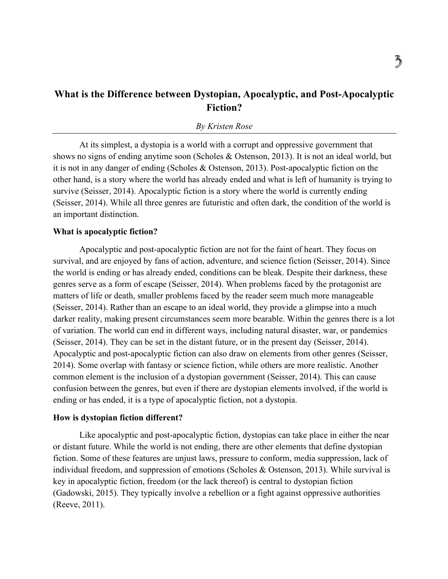# **What is the Difference between Dystopian, Apocalyptic, and Post-Apocalyptic Fiction?**

## *By Kristen Rose*

At its simplest, a dystopia is a world with a corrupt and oppressive government that shows no signs of ending anytime soon (Scholes & Ostenson, 2013). It is not an ideal world, but it is not in any danger of ending (Scholes & Ostenson, 2013). Post-apocalyptic fiction on the other hand, is a story where the world has already ended and what is left of humanity is trying to survive (Seisser, 2014). Apocalyptic fiction is a story where the world is currently ending (Seisser, 2014). While all three genres are futuristic and often dark, the condition of the world is an important distinction.

#### **What is apocalyptic fiction?**

Apocalyptic and post-apocalyptic fiction are not for the faint of heart. They focus on survival, and are enjoyed by fans of action, adventure, and science fiction (Seisser, 2014). Since the world is ending or has already ended, conditions can be bleak. Despite their darkness, these genres serve as a form of escape (Seisser, 2014). When problems faced by the protagonist are matters of life or death, smaller problems faced by the reader seem much more manageable (Seisser, 2014). Rather than an escape to an ideal world, they provide a glimpse into a much darker reality, making present circumstances seem more bearable. Within the genres there is a lot of variation. The world can end in different ways, including natural disaster, war, or pandemics (Seisser, 2014). They can be set in the distant future, or in the present day (Seisser, 2014). Apocalyptic and post-apocalyptic fiction can also draw on elements from other genres (Seisser, 2014). Some overlap with fantasy or science fiction, while others are more realistic. Another common element is the inclusion of a dystopian government (Seisser, 2014). This can cause confusion between the genres, but even if there are dystopian elements involved, if the world is ending or has ended, it is a type of apocalyptic fiction, not a dystopia.

### **How is dystopian fiction different?**

Like apocalyptic and post-apocalyptic fiction, dystopias can take place in either the near or distant future. While the world is not ending, there are other elements that define dystopian fiction. Some of these features are unjust laws, pressure to conform, media suppression, lack of individual freedom, and suppression of emotions (Scholes & Ostenson, 2013). While survival is key in apocalyptic fiction, freedom (or the lack thereof) is central to dystopian fiction (Gadowski, 2015). They typically involve a rebellion or a fight against oppressive authorities (Reeve, 2011).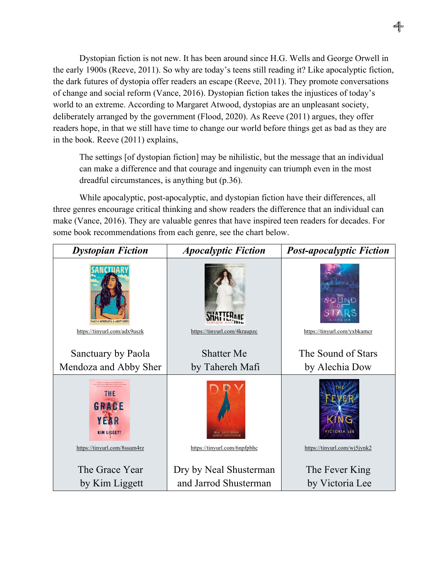Dystopian fiction is not new. It has been around since H.G. Wells and George Orwell in the early 1900s (Reeve, 2011). So why are today's teens still reading it? Like apocalyptic fiction, the dark futures of dystopia offer readers an escape (Reeve, 2011). They promote conversations of change and social reform (Vance, 2016). Dystopian fiction takes the injustices of today's world to an extreme. According to Margaret Atwood, dystopias are an unpleasant society, deliberately arranged by the government (Flood, 2020). As Reeve (2011) argues, they offer readers hope, in that we still have time to change our world before things get as bad as they are in the book. Reeve (2011) explains,

The settings [of dystopian fiction] may be nihilistic, but the message that an individual can make a difference and that courage and ingenuity can triumph even in the most dreadful circumstances, is anything but (p.36).

While apocalyptic, post-apocalyptic, and dystopian fiction have their differences, all three genres encourage critical thinking and show readers the difference that an individual can make (Vance, 2016). They are valuable genres that have inspired teen readers for decades. For some book recommendations from each genre, see the chart below.

| <b>Dystopian Fiction</b>                   | <b>Apocalyptic Fiction</b>                      | <b>Post-apocalyptic Fiction</b>   |
|--------------------------------------------|-------------------------------------------------|-----------------------------------|
| PAOLA MENDOZA & ABBY SHEI                  |                                                 |                                   |
| https://tinyurl.com/adx9uszk               | https://tinyurl.com/4kraupzc                    | https://tinyurl.com/yxbkamcr      |
| Sanctuary by Paola                         | <b>Shatter Me</b>                               | The Sound of Stars                |
| Mendoza and Abby Sher                      | by Tahereh Mafi                                 | by Alechia Dow                    |
| THE<br>GRACE<br>YEAR<br><b>KIM LIGGETT</b> |                                                 | VICTORIA LEE                      |
| https://tinyurl.com/8ssum4rz               | https://tinyurl.com/6npfpbhc                    | https://tinyurl.com/wj5jynk2      |
| The Grace Year<br>by Kim Liggett           | Dry by Neal Shusterman<br>and Jarrod Shusterman | The Fever King<br>by Victoria Lee |